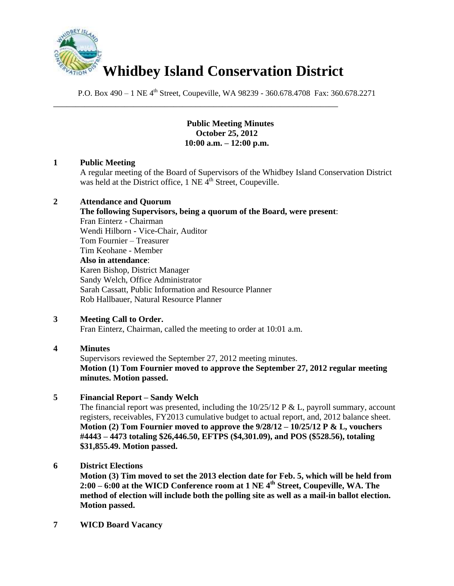

\_\_\_\_\_\_\_\_\_\_\_\_\_\_\_\_\_\_\_\_\_\_\_\_\_\_\_\_\_\_\_\_\_\_\_\_\_\_\_\_\_\_\_\_\_\_\_\_\_\_\_\_\_\_\_\_\_\_\_\_\_\_\_\_

P.O. Box 490 – 1 NE 4<sup>th</sup> Street, Coupeville, WA 98239 - 360.678.4708 Fax: 360.678.2271

# **Public Meeting Minutes October 25, 2012 10:00 a.m. – 12:00 p.m.**

# **1 Public Meeting**

A regular meeting of the Board of Supervisors of the Whidbey Island Conservation District was held at the District office,  $1$  NE  $\tilde{4}^{th}$  Street, Coupeville.

# **2 Attendance and Quorum**

**The following Supervisors, being a quorum of the Board, were present**: Fran Einterz - Chairman Wendi Hilborn - Vice-Chair, Auditor Tom Fournier – Treasurer Tim Keohane - Member **Also in attendance**: Karen Bishop, District Manager Sandy Welch, Office Administrator Sarah Cassatt, Public Information and Resource Planner Rob Hallbauer, Natural Resource Planner

# **3 Meeting Call to Order.**

Fran Einterz, Chairman, called the meeting to order at 10:01 a.m.

# **4 Minutes**

Supervisors reviewed the September 27, 2012 meeting minutes. **Motion (1) Tom Fournier moved to approve the September 27, 2012 regular meeting minutes. Motion passed.**

# **5 Financial Report – Sandy Welch**

The financial report was presented, including the  $10/25/12$  P & L, payroll summary, account registers, receivables, FY2013 cumulative budget to actual report, and, 2012 balance sheet. **Motion (2) Tom Fournier moved to approve the 9/28/12 – 10/25/12 P & L, vouchers #4443 – 4473 totaling \$26,446.50, EFTPS (\$4,301.09), and POS (\$528.56), totaling \$31,855.49. Motion passed.**

# **6 District Elections**

**Motion (3) Tim moved to set the 2013 election date for Feb. 5, which will be held from 2:00 – 6:00 at the WICD Conference room at 1 NE 4th Street, Coupeville, WA. The method of election will include both the polling site as well as a mail-in ballot election. Motion passed.** 

**7 WICD Board Vacancy**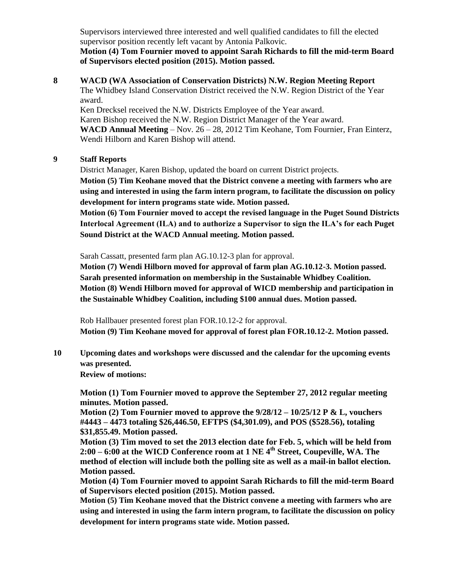Supervisors interviewed three interested and well qualified candidates to fill the elected supervisor position recently left vacant by Antonia Palkovic.

**Motion (4) Tom Fournier moved to appoint Sarah Richards to fill the mid-term Board of Supervisors elected position (2015). Motion passed.** 

**8 WACD (WA Association of Conservation Districts) N.W. Region Meeting Report** The Whidbey Island Conservation District received the N.W. Region District of the Year award.

Ken Drecksel received the N.W. Districts Employee of the Year award. Karen Bishop received the N.W. Region District Manager of the Year award. **WACD Annual Meeting** – Nov. 26 – 28, 2012 Tim Keohane, Tom Fournier, Fran Einterz, Wendi Hilborn and Karen Bishop will attend.

### **9 Staff Reports**

District Manager, Karen Bishop, updated the board on current District projects. **Motion (5) Tim Keohane moved that the District convene a meeting with farmers who are** 

**using and interested in using the farm intern program, to facilitate the discussion on policy development for intern programs state wide. Motion passed.** 

**Motion (6) Tom Fournier moved to accept the revised language in the Puget Sound Districts Interlocal Agreement (ILA) and to authorize a Supervisor to sign the ILA's for each Puget Sound District at the WACD Annual meeting. Motion passed.** 

Sarah Cassatt, presented farm plan AG.10.12-3 plan for approval.

**Motion (7) Wendi Hilborn moved for approval of farm plan AG.10.12-3. Motion passed. Sarah presented information on membership in the Sustainable Whidbey Coalition. Motion (8) Wendi Hilborn moved for approval of WICD membership and participation in the Sustainable Whidbey Coalition, including \$100 annual dues. Motion passed.** 

Rob Hallbauer presented forest plan FOR.10.12-2 for approval. **Motion (9) Tim Keohane moved for approval of forest plan FOR.10.12-2. Motion passed.** 

**10 Upcoming dates and workshops were discussed and the calendar for the upcoming events was presented.**

**Review of motions:**

**Motion (1) Tom Fournier moved to approve the September 27, 2012 regular meeting minutes. Motion passed.**

**Motion (2) Tom Fournier moved to approve the 9/28/12 – 10/25/12 P & L, vouchers #4443 – 4473 totaling \$26,446.50, EFTPS (\$4,301.09), and POS (\$528.56), totaling \$31,855.49. Motion passed.**

**Motion (3) Tim moved to set the 2013 election date for Feb. 5, which will be held from 2:00 – 6:00 at the WICD Conference room at 1 NE 4th Street, Coupeville, WA. The method of election will include both the polling site as well as a mail-in ballot election. Motion passed.** 

**Motion (4) Tom Fournier moved to appoint Sarah Richards to fill the mid-term Board of Supervisors elected position (2015). Motion passed.** 

**Motion (5) Tim Keohane moved that the District convene a meeting with farmers who are using and interested in using the farm intern program, to facilitate the discussion on policy development for intern programs state wide. Motion passed.**